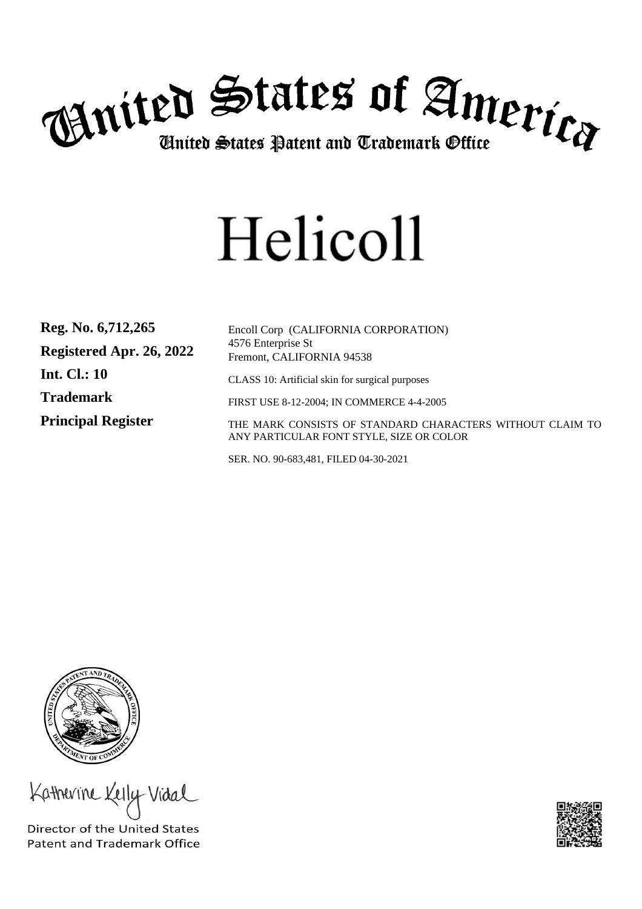

# Helicoll

| Reg. No. 6,712,265        | Encoll Corp (CALIFORNIA CORPORATION)                                                                  |
|---------------------------|-------------------------------------------------------------------------------------------------------|
| Registered Apr. 26, 2022  | 4576 Enterprise St<br>Fremont, CALIFORNIA 94538                                                       |
| <b>Int. Cl.: 10</b>       | CLASS 10: Artificial skin for surgical purposes                                                       |
| <b>Trademark</b>          | FIRST USE 8-12-2004; IN COMMERCE 4-4-2005                                                             |
| <b>Principal Register</b> | THE MARK CONSISTS OF STANDARD CHARACTERS WITHOUT CLAIM TO<br>ANY PARTICULAR FONT STYLE, SIZE OR COLOR |

SER. NO. 90-683,481, FILED 04-30-2021



Katherine Kelly Vidal

Director of the United States **Patent and Trademark Office**